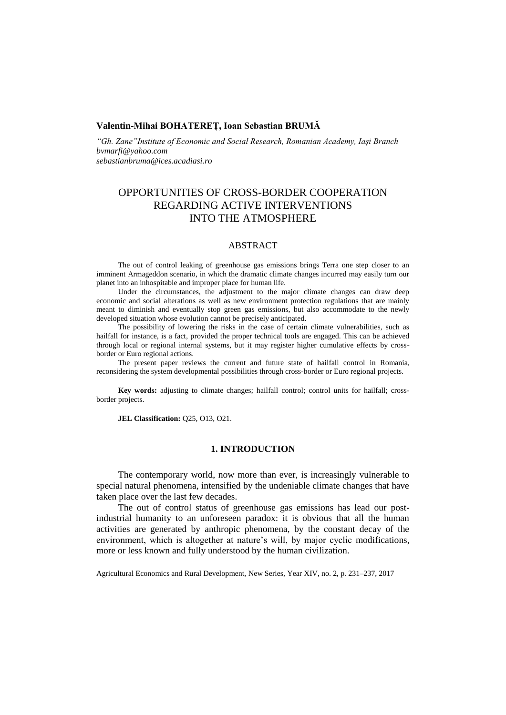## **Valentin-Mihai BOHATEREȚ, Ioan Sebastian BRUMĂ**

*"Gh. Zane"Institute of Economic and Social Research, Romanian Academy, Iași Branch bvmarfi@yahoo.com sebastianbruma@ices.acadiasi.ro*

# OPPORTUNITIES OF CROSS-BORDER COOPERATION REGARDING ACTIVE INTERVENTIONS INTO THE ATMOSPHERE

## ABSTRACT

The out of control leaking of greenhouse gas emissions brings Terra one step closer to an imminent Armageddon scenario, in which the dramatic climate changes incurred may easily turn our planet into an inhospitable and improper place for human life.

Under the circumstances, the adjustment to the major climate changes can draw deep economic and social alterations as well as new environment protection regulations that are mainly meant to diminish and eventually stop green gas emissions, but also accommodate to the newly developed situation whose evolution cannot be precisely anticipated.

The possibility of lowering the risks in the case of certain climate vulnerabilities, such as hailfall for instance, is a fact, provided the proper technical tools are engaged. This can be achieved through local or regional internal systems, but it may register higher cumulative effects by crossborder or Euro regional actions.

The present paper reviews the current and future state of hailfall control in Romania, reconsidering the system developmental possibilities through cross-border or Euro regional projects.

**Key words:** adjusting to climate changes; hailfall control; control units for hailfall; crossborder projects.

**JEL Classification:** Q25, O13, O21.

## **1. INTRODUCTION**

The contemporary world, now more than ever, is increasingly vulnerable to special natural phenomena, intensified by the undeniable climate changes that have taken place over the last few decades.

The out of control status of greenhouse gas emissions has lead our postindustrial humanity to an unforeseen paradox: it is obvious that all the human activities are generated by anthropic phenomena, by the constant decay of the environment, which is altogether at nature's will, by major cyclic modifications, more or less known and fully understood by the human civilization.

Agricultural Economics and Rural Development, New Series, Year XIV, no. 2, p. 231–237, 2017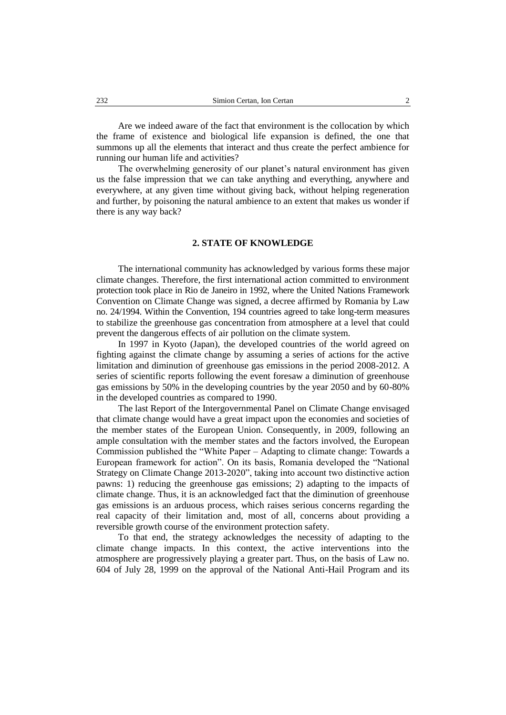Are we indeed aware of the fact that environment is the collocation by which the frame of existence and biological life expansion is defined, the one that summons up all the elements that interact and thus create the perfect ambience for running our human life and activities?

The overwhelming generosity of our planet's natural environment has given us the false impression that we can take anything and everything, anywhere and everywhere, at any given time without giving back, without helping regeneration and further, by poisoning the natural ambience to an extent that makes us wonder if there is any way back?

## **2. STATE OF KNOWLEDGE**

The international community has acknowledged by various forms these major climate changes. Therefore, the first international action committed to environment protection took place in Rio de Janeiro in 1992, where the United Nations Framework Convention on Climate Change was signed, a decree affirmed by Romania by Law no. 24/1994. Within the Convention, 194 countries agreed to take long-term measures to stabilize the greenhouse gas concentration from atmosphere at a level that could prevent the dangerous effects of air pollution on the climate system.

In 1997 in Kyoto (Japan), the developed countries of the world agreed on fighting against the climate change by assuming a series of actions for the active limitation and diminution of greenhouse gas emissions in the period 2008-2012. A series of scientific reports following the event foresaw a diminution of greenhouse gas emissions by 50% in the developing countries by the year 2050 and by 60-80% in the developed countries as compared to 1990.

The last Report of the Intergovernmental Panel on Climate Change envisaged that climate change would have a great impact upon the economies and societies of the member states of the European Union. Consequently, in 2009, following an ample consultation with the member states and the factors involved, the European Commission published the "White Paper – Adapting to climate change: Towards a European framework for action". On its basis, Romania developed the "National Strategy on Climate Change 2013-2020", taking into account two distinctive action pawns: 1) reducing the greenhouse gas emissions; 2) adapting to the impacts of climate change. Thus, it is an acknowledged fact that the diminution of greenhouse gas emissions is an arduous process, which raises serious concerns regarding the real capacity of their limitation and, most of all, concerns about providing a reversible growth course of the environment protection safety.

To that end, the strategy acknowledges the necessity of adapting to the climate change impacts. In this context, the active interventions into the atmosphere are progressively playing a greater part. Thus, on the basis of Law no. 604 of July 28, 1999 on the approval of the National Anti-Hail Program and its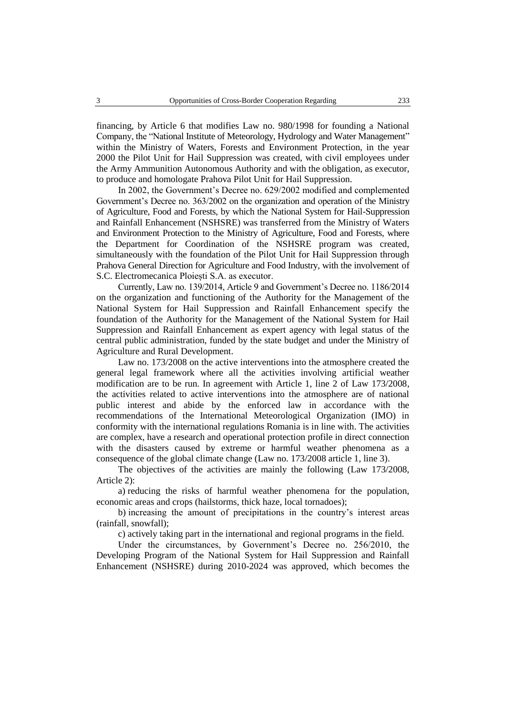financing, by Article 6 that modifies Law no. 980/1998 for founding a National Company, the "National Institute of Meteorology, Hydrology and Water Management" within the Ministry of Waters, Forests and Environment Protection, in the year 2000 the Pilot Unit for Hail Suppression was created, with civil employees under the Army Ammunition Autonomous Authority and with the obligation, as executor, to produce and homologate Prahova Pilot Unit for Hail Suppression.

In 2002, the Government's Decree no. 629/2002 modified and complemented Government's Decree no. 363/2002 on the organization and operation of the Ministry of Agriculture, Food and Forests, by which the National System for Hail-Suppression and Rainfall Enhancement (NSHSRE) was transferred from the Ministry of Waters and Environment Protection to the Ministry of Agriculture, Food and Forests, where the Department for Coordination of the NSHSRE program was created, simultaneously with the foundation of the Pilot Unit for Hail Suppression through Prahova General Direction for Agriculture and Food Industry, with the involvement of S.C. Electromecanica Ploiești S.A. as executor.

Currently, Law no. 139/2014, Article 9 and Government's Decree no. 1186/2014 on the organization and functioning of the Authority for the Management of the National System for Hail Suppression and Rainfall Enhancement specify the foundation of the Authority for the Management of the National System for Hail Suppression and Rainfall Enhancement as expert agency with legal status of the central public administration, funded by the state budget and under the Ministry of Agriculture and Rural Development.

Law no. 173/2008 on the active interventions into the atmosphere created the general legal framework where all the activities involving artificial weather modification are to be run. In agreement with Article 1, line 2 of Law 173/2008, the activities related to active interventions into the atmosphere are of national public interest and abide by the enforced law in accordance with the recommendations of the International Meteorological Organization (IMO) in conformity with the international regulations Romania is in line with. The activities are complex, have a research and operational protection profile in direct connection with the disasters caused by extreme or harmful weather phenomena as a consequence of the global climate change (Law no. 173/2008 article 1, line 3).

The objectives of the activities are mainly the following (Law 173/2008, Article 2):

a) reducing the risks of harmful weather phenomena for the population, economic areas and crops (hailstorms, thick haze, local tornadoes);

b) increasing the amount of precipitations in the country's interest areas (rainfall, snowfall);

c) actively taking part in the international and regional programs in the field.

Under the circumstances, by Government's Decree no. 256/2010, the Developing Program of the National System for Hail Suppression and Rainfall Enhancement (NSHSRE) during 2010-2024 was approved, which becomes the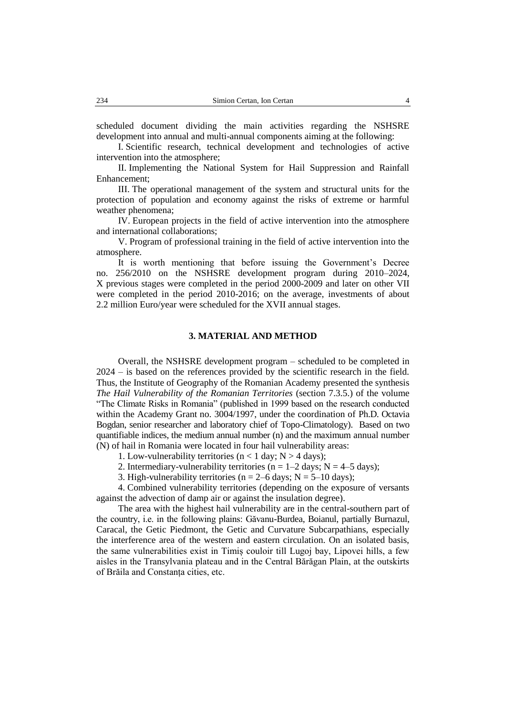scheduled document dividing the main activities regarding the NSHSRE development into annual and multi-annual components aiming at the following:

I. Scientific research, technical development and technologies of active intervention into the atmosphere;

II. Implementing the National System for Hail Suppression and Rainfall Enhancement;

III. The operational management of the system and structural units for the protection of population and economy against the risks of extreme or harmful weather phenomena;

IV. European projects in the field of active intervention into the atmosphere and international collaborations;

V. Program of professional training in the field of active intervention into the atmosphere.

It is worth mentioning that before issuing the Government's Decree no. 256/2010 on the NSHSRE development program during 2010–2024, X previous stages were completed in the period 2000-2009 and later on other VII were completed in the period 2010-2016; on the average, investments of about 2.2 million Euro/year were scheduled for the XVII annual stages.

## **3. MATERIAL AND METHOD**

Overall, the NSHSRE development program – scheduled to be completed in 2024 – is based on the references provided by the scientific research in the field. Thus, the Institute of Geography of the Romanian Academy presented the synthesis *The Hail Vulnerability of the Romanian Territories* (section 7.3.5.) of the volume "The Climate Risks in Romania" (published in 1999 based on the research conducted within the Academy Grant no. 3004/1997, under the coordination of Ph.D. Octavia Bogdan, senior researcher and laboratory chief of Topo-Climatology). Based on two quantifiable indices, the medium annual number (n) and the maximum annual number (N) of hail in Romania were located in four hail vulnerability areas:

1. Low-vulnerability territories ( $n < 1$  day;  $N > 4$  days);

2. Intermediary-vulnerability territories ( $n = 1-2$  days;  $N = 4-5$  days);

3. High-vulnerability territories ( $n = 2-6$  days;  $N = 5-10$  days);

4. Combined vulnerability territories (depending on the exposure of versants against the advection of damp air or against the insulation degree).

The area with the highest hail vulnerability are in the central-southern part of the country, i.e. in the following plains: Găvanu-Burdea, Boianul, partially Burnazul, Caracal, the Getic Piedmont, the Getic and Curvature Subcarpathians, especially the interference area of the western and eastern circulation. On an isolated basis, the same vulnerabilities exist in Timiș couloir till Lugoj bay, Lipovei hills, a few aisles in the Transylvania plateau and in the Central Bărăgan Plain, at the outskirts of Brăila and Constanța cities, etc.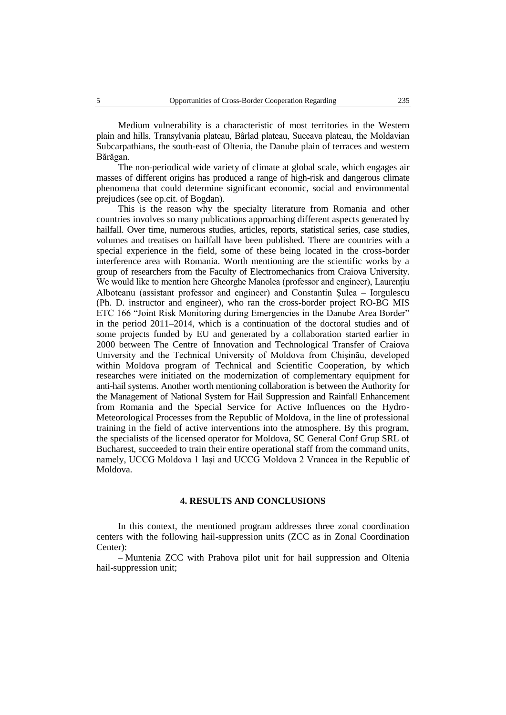Medium vulnerability is a characteristic of most territories in the Western plain and hills, Transylvania plateau, Bârlad plateau, Suceava plateau, the Moldavian Subcarpathians, the south-east of Oltenia, the Danube plain of terraces and western Bărăgan.

The non-periodical wide variety of climate at global scale, which engages air masses of different origins has produced a range of high-risk and dangerous climate phenomena that could determine significant economic, social and environmental prejudices (see op.cit. of Bogdan).

This is the reason why the specialty literature from Romania and other countries involves so many publications approaching different aspects generated by hailfall. Over time, numerous studies, articles, reports, statistical series, case studies, volumes and treatises on hailfall have been published. There are countries with a special experience in the field, some of these being located in the cross-border interference area with Romania. Worth mentioning are the scientific works by a group of researchers from the Faculty of Electromechanics from Craiova University. We would like to mention here Gheorghe Manolea (professor and engineer), Laurențiu Alboteanu (assistant professor and engineer) and Constantin Șulea – Iorgulescu (Ph. D. instructor and engineer), who ran the cross-border project RO-BG MIS ETC 166 "Joint Risk Monitoring during Emergencies in the Danube Area Border" in the period 2011–2014, which is a continuation of the doctoral studies and of some projects funded by EU and generated by a collaboration started earlier in 2000 between The Centre of Innovation and Technological Transfer of Craiova University and the Technical University of Moldova from Chișinău, developed within Moldova program of Technical and Scientific Cooperation, by which researches were initiated on the modernization of complementary equipment for anti-hail systems. Another worth mentioning collaboration is between the Authority for the Management of National System for Hail Suppression and Rainfall Enhancement from Romania and the Special Service for Active Influences on the Hydro-Meteorological Processes from the Republic of Moldova, in the line of professional training in the field of active interventions into the atmosphere. By this program, the specialists of the licensed operator for Moldova, SC General Conf Grup SRL of Bucharest, succeeded to train their entire operational staff from the command units, namely, UCCG Moldova 1 Iași and UCCG Moldova 2 Vrancea in the Republic of Moldova.

#### **4. RESULTS AND CONCLUSIONS**

In this context, the mentioned program addresses three zonal coordination centers with the following hail-suppression units (ZCC as in Zonal Coordination Center):

– Muntenia ZCC with Prahova pilot unit for hail suppression and Oltenia hail-suppression unit;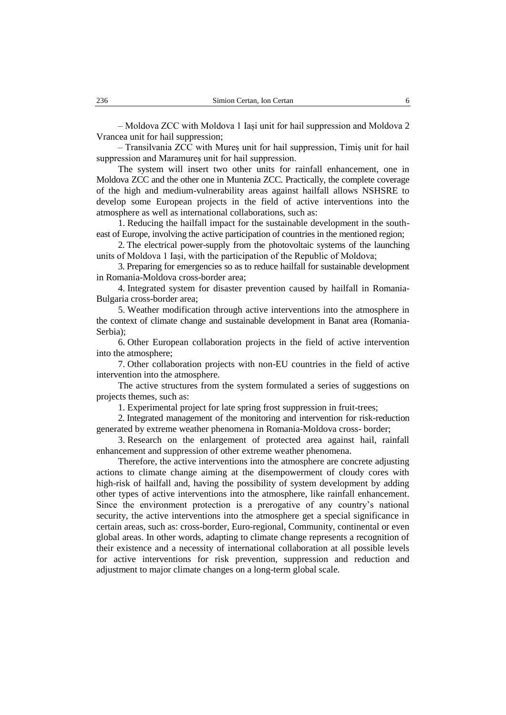– Moldova ZCC with Moldova 1 Iași unit for hail suppression and Moldova 2 Vrancea unit for hail suppression;

– Transilvania ZCC with Mureș unit for hail suppression, Timiș unit for hail suppression and Maramures unit for hail suppression.

The system will insert two other units for rainfall enhancement, one in Moldova ZCC and the other one in Muntenia ZCC. Practically, the complete coverage of the high and medium-vulnerability areas against hailfall allows NSHSRE to develop some European projects in the field of active interventions into the atmosphere as well as international collaborations, such as:

1. Reducing the hailfall impact for the sustainable development in the southeast of Europe, involving the active participation of countries in the mentioned region;

2. The electrical power-supply from the photovoltaic systems of the launching units of Moldova 1 Iași, with the participation of the Republic of Moldova;

3. Preparing for emergencies so as to reduce hailfall for sustainable development in Romania-Moldova cross-border area;

4. Integrated system for disaster prevention caused by hailfall in Romania-Bulgaria cross-border area;

5. Weather modification through active interventions into the atmosphere in the context of climate change and sustainable development in Banat area (Romania-Serbia);

6. Other European collaboration projects in the field of active intervention into the atmosphere;

7. Other collaboration projects with non-EU countries in the field of active intervention into the atmosphere.

The active structures from the system formulated a series of suggestions on projects themes, such as:

1. Experimental project for late spring frost suppression in fruit-trees;

2. Integrated management of the monitoring and intervention for risk-reduction generated by extreme weather phenomena in Romania-Moldova cross- border;

3. Research on the enlargement of protected area against hail, rainfall enhancement and suppression of other extreme weather phenomena.

Therefore, the active interventions into the atmosphere are concrete adjusting actions to climate change aiming at the disempowerment of cloudy cores with high-risk of hailfall and, having the possibility of system development by adding other types of active interventions into the atmosphere, like rainfall enhancement. Since the environment protection is a prerogative of any country's national security, the active interventions into the atmosphere get a special significance in certain areas, such as: cross-border, Euro-regional, Community, continental or even global areas. In other words, adapting to climate change represents a recognition of their existence and a necessity of international collaboration at all possible levels for active interventions for risk prevention, suppression and reduction and adjustment to major climate changes on a long-term global scale.